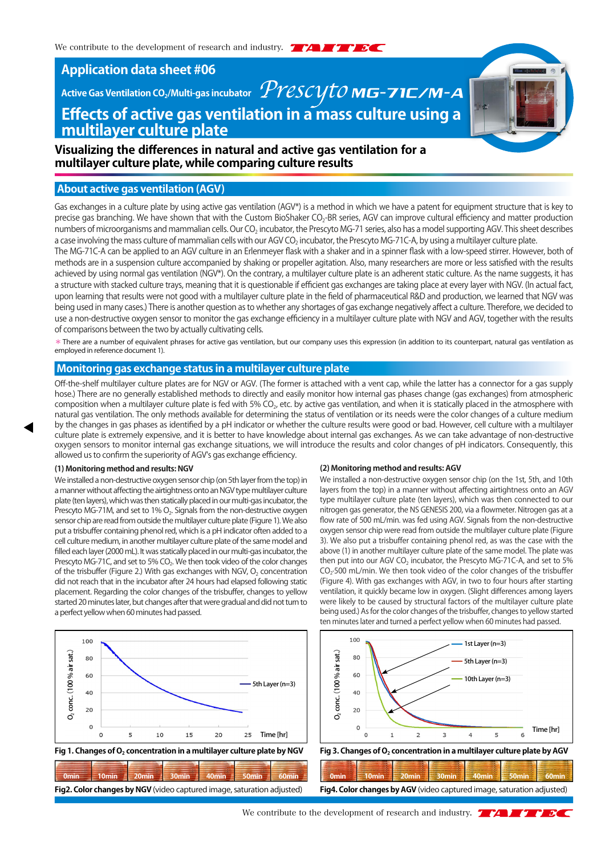**Application data sheet #06**

# **Effects of active gas ventilation in a mass culture using a multilayer culture plate** Active Gas Ventilation CO<sub>2</sub>/Multi-gas incubator *PYESCY TOMG-71C/M-A*

**Visualizing the differences in natural and active gas ventilation for a multilayer culture plate, while comparing culture results**

## **About active gas ventilation (AGV)**

Gas exchanges in a culture plate by using active gas ventilation (AGV\*) is a method in which we have a patent for equipment structure that is key to precise gas branching. We have shown that with the Custom BioShaker CO<sub>2</sub>-BR series, AGV can improve cultural efficiency and matter production numbers of microorganisms and mammalian cells. Our CO2 incubator, the Prescyto MG-71 series, also has a model supporting AGV. This sheet describes a case involving the mass culture of mammalian cells with our AGV CO<sub>2</sub> incubator, the Prescyto MG-71C-A, by using a multilayer culture plate.

The MG-71C-A can be applied to an AGV culture in an Erlenmeyer flask with a shaker and in a spinner flask with a low-speed stirrer. However, both of methods are in a suspension culture accompanied by shaking or propeller agitation. Also, many researchers are more or less satisfied with the results achieved by using normal gas ventilation (NGV\*). On the contrary, a multilayer culture plate is an adherent static culture. As the name suggests, it has a structure with stacked culture trays, meaning that it is questionable if efficient gas exchanges are taking place at every layer with NGV. (In actual fact, upon learning that results were not good with a multilayer culture plate in the field of pharmaceutical R&D and production, we learned that NGV was being used in many cases.) There is another question as to whether any shortages of gas exchange negatively affect a culture. Therefore, we decided to use a non-destructive oxygen sensor to monitor the gas exchange efficiency in a multilayer culture plate with NGV and AGV, together with the results of comparisons between the two by actually cultivating cells.

\*There are a number of equivalent phrases for active gas ventilation, but our company uses this expression (in addition to its counterpart, natural gas ventilation as employed in reference document 1).

## **Monitoring gas exchange status in a multilayer culture plate**

Off-the-shelf multilayer culture plates are for NGV or AGV. (The former is attached with a vent cap, while the latter has a connector for a gas supply hose.) There are no generally established methods to directly and easily monitor how internal gas phases change (gas exchanges) from atmospheric composition when a multilayer culture plate is fed with 5%  $CO<sub>2</sub>$ , etc. by active gas ventilation, and when it is statically placed in the atmosphere with natural gas ventilation. The only methods available for determining the status of ventilation or its needs were the color changes of a culture medium by the changes in gas phases as identified by a pH indicator or whether the culture results were good or bad. However, cell culture with a multilayer culture plate is extremely expensive, and it is better to have knowledge about internal gas exchanges. As we can take advantage of non-destructive oxygen sensors to monitor internal gas exchange situations, we will introduce the results and color changes of pH indicators. Consequently, this allowed us to confirm the superiority of AGV's gas exchange efficiency.

## **(1) Monitoring method and results: NGV**

We installed a non-destructive oxygen sensor chip (on 5th layer from the top) in a manner without affecting the airtightness onto an NGV type multilayer culture plate (ten layers), which was then statically placed in our multi-gas incubator, the Prescyto MG-71M, and set to 1% O<sub>2</sub>. Signals from the non-destructive oxygen sensor chip are read from outside the multilayer culture plate (Figure 1). We also put a trisbuffer containing phenol red, which is a pH indicator often added to a cell culture medium, in another multilayer culture plate of the same model and filled each layer (2000 mL). It was statically placed in our multi-gas incubator, the Prescyto MG-71C, and set to 5% CO<sub>2</sub>. We then took video of the color changes of the trisbuffer (Figure 2.) With gas exchanges with NGV,  $O<sub>2</sub>$  concentration did not reach that in the incubator after 24 hours had elapsed following static placement. Regarding the color changes of the trisbuffer, changes to yellow started 20 minutes later, but changes after that were gradual and did not turn to a perfect yellow when 60 minutes had passed.



Fig 1. Changes of O<sub>2</sub> concentration in a multilayer culture plate by NGV Fig 3. Changes of O<sub>2</sub> concentration in a multilayer culture plate by AGV

|                                                                             |  |  | Jmın                                                                        |  |  |  |
|-----------------------------------------------------------------------------|--|--|-----------------------------------------------------------------------------|--|--|--|
| <b>Fig. Color changes by NGV</b> (video captured image saturation adjusted) |  |  | <b>Fig4. Color changes by AGV</b> (video captured image saturation adjusted |  |  |  |

#### **(2) Monitoring method and results: AGV**

We installed a non-destructive oxygen sensor chip (on the 1st, 5th, and 10th layers from the top) in a manner without affecting airtightness onto an AGV type multilayer culture plate (ten layers), which was then connected to our nitrogen gas generator, the NS GENESIS 200, via a flowmeter. Nitrogen gas at a flow rate of 500 mL/min. was fed using AGV. Signals from the non-destructive oxygen sensor chip were read from outside the multilayer culture plate (Figure 3). We also put a trisbuffer containing phenol red, as was the case with the above (1) in another multilayer culture plate of the same model. The plate was then put into our AGV CO<sub>2</sub> incubator, the Prescyto MG-71C-A, and set to 5% CO<sub>2</sub>·500 mL/min. We then took video of the color changes of the trisbuffer (Figure 4). With gas exchanges with AGV, in two to four hours after starting ventilation, it quickly became low in oxygen. (Slight differences among layers were likely to be caused by structural factors of the multilayer culture plate being used.) As for the color changes of the trisbuffer, changes to yellow started ten minutes later and turned a perfect yellow when 60 minutes had passed.





| 0min - 10min - 20min - 30min - 40min - 50min - 60min                   |  |  |  |  |  |  |  |
|------------------------------------------------------------------------|--|--|--|--|--|--|--|
| Fig4. Color changes by AGV (video captured image, saturation adjusted) |  |  |  |  |  |  |  |

We contribute to the development of research and industry.  $\mathcal{A}$